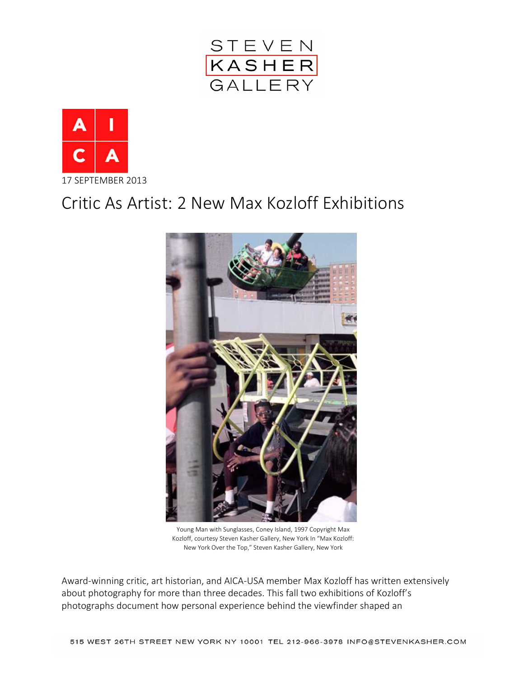



## Critic As Artist: 2 New Max Kozloff Exhibitions



Young Man with Sunglasses, Coney Island, 1997 Copyright Max Kozloff, courtesy Steven Kasher Gallery, New York In "Max Kozloff: New York Over the Top," Steven Kasher Gallery, New York

Award-winning critic, art historian, and AICA-USA member Max Kozloff has written extensively about photography for more than three decades. This fall two exhibitions of Kozloff's photographs document how personal experience behind the viewfinder shaped an